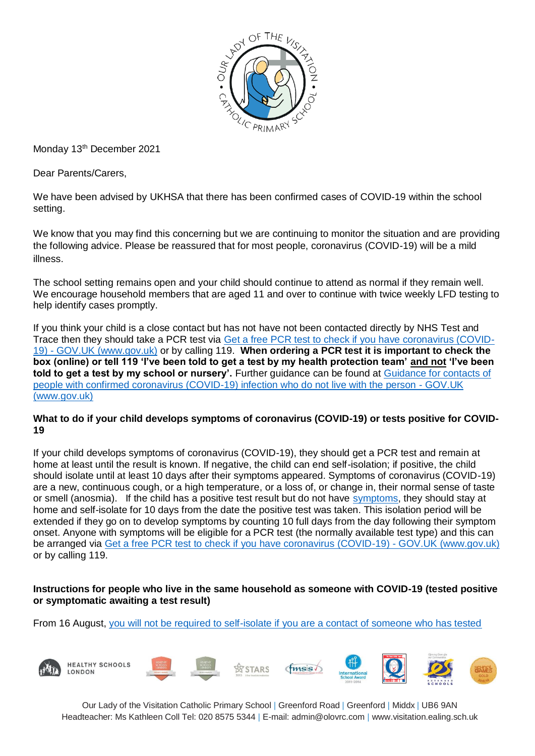

Monday 13<sup>th</sup> December 2021

Dear Parents/Carers,

We have been advised by UKHSA that there has been confirmed cases of COVID-19 within the school setting.

We know that you may find this concerning but we are continuing to monitor the situation and are providing the following advice. Please be reassured that for most people, coronavirus (COVID-19) will be a mild illness.

The school setting remains open and your child should continue to attend as normal if they remain well. We encourage household members that are aged 11 and over to continue with twice weekly LFD testing to help identify cases promptly.

If you think your child is a close contact but has not have not been contacted directly by NHS Test and Trace then they should take a PCR test via [Get a free PCR test to check if you have coronavirus \(COVID-](https://www.gov.uk/get-coronavirus-test)19) - [GOV.UK \(www.gov.uk\)](https://www.gov.uk/get-coronavirus-test) or by calling 119. **When ordering a PCR test it is important to check the box (online) or tell 119 'I've been told to get a test by my health protection team' and not 'I've been told to get a test by my school or nursery'.** Further guidance can be found at [Guidance for contacts of](https://www.gov.uk/government/publications/guidance-for-contacts-of-people-with-possible-or-confirmed-coronavirus-covid-19-infection-who-do-not-live-with-the-person/guidance-for-contacts-of-people-with-possible-or-confirmed-coronavirus-covid-19-infection-who-do-not-live-with-the-person#i-think-i-have-had-contact-with-someone-who-has-tested-positive-for-covid-19-but-i-have-not-been-notified-and-advised-to-self-isolate-what-should-i-do)  [people with confirmed coronavirus \(COVID-19\) infection who do not live with the person -](https://www.gov.uk/government/publications/guidance-for-contacts-of-people-with-possible-or-confirmed-coronavirus-covid-19-infection-who-do-not-live-with-the-person/guidance-for-contacts-of-people-with-possible-or-confirmed-coronavirus-covid-19-infection-who-do-not-live-with-the-person#i-think-i-have-had-contact-with-someone-who-has-tested-positive-for-covid-19-but-i-have-not-been-notified-and-advised-to-self-isolate-what-should-i-do) GOV.UK [\(www.gov.uk\)](https://www.gov.uk/government/publications/guidance-for-contacts-of-people-with-possible-or-confirmed-coronavirus-covid-19-infection-who-do-not-live-with-the-person/guidance-for-contacts-of-people-with-possible-or-confirmed-coronavirus-covid-19-infection-who-do-not-live-with-the-person#i-think-i-have-had-contact-with-someone-who-has-tested-positive-for-covid-19-but-i-have-not-been-notified-and-advised-to-self-isolate-what-should-i-do)

#### **What to do if your child develops symptoms of coronavirus (COVID-19) or tests positive for COVID-19**

If your child develops symptoms of coronavirus (COVID-19), they should get a PCR test and remain at home at least until the result is known. If negative, the child can end self-isolation; if positive, the child should isolate until at least 10 days after their symptoms appeared. Symptoms of coronavirus (COVID-19) are a new, continuous cough, or a high temperature, or a loss of, or change in, their normal sense of taste or smell (anosmia). If the child has a positive test result but do not have [symptoms,](https://www.gov.uk/government/publications/covid-19-stay-at-home-guidance/stay-at-home-guidance-for-households-with-possible-coronavirus-covid-19-infection#symptoms) they should stay at home and self-isolate for 10 days from the date the positive test was taken. This isolation period will be extended if they go on to develop symptoms by counting 10 full days from the day following their symptom onset. Anyone with symptoms will be eligible for a PCR test (the normally available test type) and this can be arranged via [Get a free PCR test to check if you have coronavirus \(COVID-19\) -](https://www.gov.uk/get-coronavirus-test) GOV.UK (www.gov.uk) or by calling 119.

#### **Instructions for people who live in the same household as someone with COVID-19 (tested positive or symptomatic awaiting a test result)**

From 16 August, [you will not be required to self-isolate if you are a contact of someone who has tested](https://www.gov.uk/government/publications/covid-19-stay-at-home-guidance/stay-at-home-guidance-for-households-with-possible-coronavirus-covid-19-infection#exempt) 

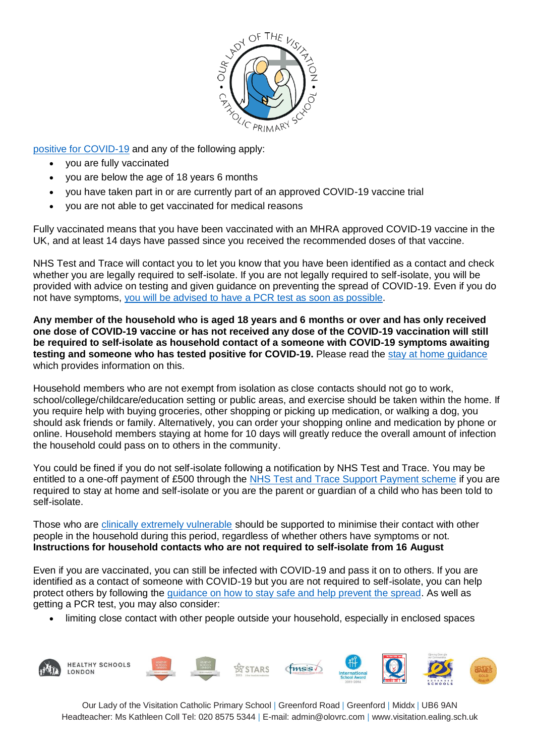

[positive for COVID-19](https://www.gov.uk/government/publications/covid-19-stay-at-home-guidance/stay-at-home-guidance-for-households-with-possible-coronavirus-covid-19-infection#exempt) and any of the following apply:

- you are fully vaccinated
- you are below the age of 18 years 6 months
- you have taken part in or are currently part of an approved COVID-19 vaccine trial
- you are not able to get vaccinated for medical reasons

Fully vaccinated means that you have been vaccinated with an MHRA approved COVID-19 vaccine in the UK, and at least 14 days have passed since you received the recommended doses of that vaccine.

NHS Test and Trace will contact you to let you know that you have been identified as a contact and check whether you are legally required to self-isolate. If you are not legally required to self-isolate, you will be provided with advice on testing and given guidance on preventing the spread of COVID-19. Even if you do not have symptoms, [you will be advised to have a](https://www.gov.uk/government/publications/covid-19-stay-at-home-guidance/stay-at-home-guidance-for-households-with-possible-coronavirus-covid-19-infection#PCR) PCR test as soon as possible.

**Any member of the household who is aged 18 years and 6 months or over and has only received one dose of COVID-19 vaccine or has not received any dose of the COVID-19 vaccination will still be required to self-isolate as household contact of a someone with COVID-19 symptoms awaiting testing and someone who has tested positive for COVID-19.** Please read the [stay at home guidance](https://www.gov.uk/government/publications/covid-19-stay-at-home-guidance) which provides information on this.

Household members who are not exempt from isolation as close contacts should not go to work, school/college/childcare/education setting or public areas, and exercise should be taken within the home. If you require help with buying groceries, other shopping or picking up medication, or walking a dog, you should ask friends or family. Alternatively, you can order your shopping online and medication by phone or online. Household members staying at home for 10 days will greatly reduce the overall amount of infection the household could pass on to others in the community.

You could be fined if you do not self-isolate following a notification by NHS Test and Trace. You may be entitled to a one-off payment of £500 through the [NHS Test and Trace Support Payment scheme](https://www.gov.uk/government/publications/test-and-trace-support-payment-scheme-claiming-financial-support/claiming-financial-support-under-the-test-and-trace-support-payment-scheme) if you are required to stay at home and self-isolate or you are the parent or guardian of a child who has been told to self-isolate.

Those who are [clinically extremely vulnerable](https://www.gov.uk/government/publications/guidance-on-shielding-and-protecting-extremely-vulnerable-persons-from-covid-19/guidance-on-shielding-and-protecting-extremely-vulnerable-persons-from-covid-19) should be supported to minimise their contact with other people in the household during this period, regardless of whether others have symptoms or not. **Instructions for household contacts who are not required to self-isolate from 16 August**

Even if you are vaccinated, you can still be infected with COVID-19 and pass it on to others. If you are identified as a contact of someone with COVID-19 but you are not required to self-isolate, you can help protect others by following the [guidance on how to stay safe and help prevent the spread.](https://www.gov.uk/guidance/covid-19-coronavirus-restrictions-what-you-can-and-cannot-do#keeping-yourself-and-others-safe) As well as getting a PCR test, you may also consider:

limiting close contact with other people outside your household, especially in enclosed spaces

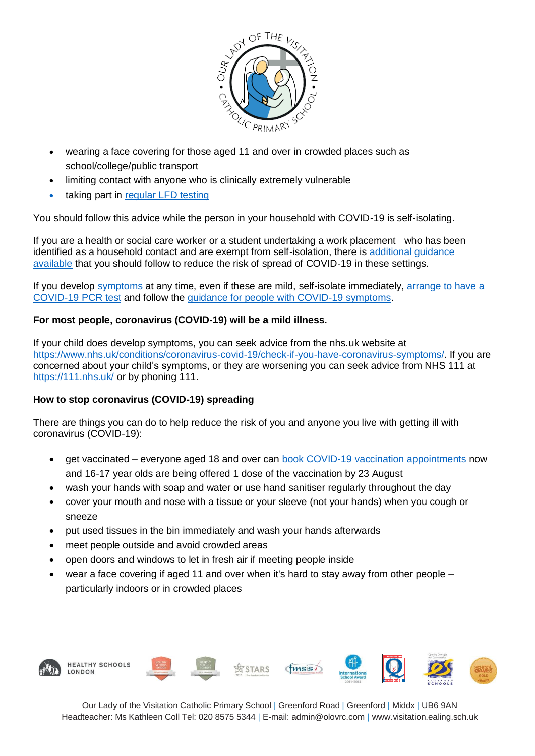

- wearing a face covering for those aged 11 and over in crowded places such as school/college/public transport
- limiting contact with anyone who is clinically extremely vulnerable
- taking part in [regular](https://www.gov.uk/order-coronavirus-rapid-lateral-flow-tests) LFD testing

You should follow this advice while the person in your household with COVID-19 is self-isolating.

If you are a health or social care worker or a student undertaking a work placement who has been identified as a household contact and are exempt from self-isolation, there is [additional guidance](https://www.gov.uk/government/publications/covid-19-management-of-exposed-healthcare-workers-and-patients-in-hospital-settings/covid-19-management-of-exposed-healthcare-workers-and-patients-in-hospital-settings)  [available](https://www.gov.uk/government/publications/covid-19-management-of-exposed-healthcare-workers-and-patients-in-hospital-settings/covid-19-management-of-exposed-healthcare-workers-and-patients-in-hospital-settings) that you should follow to reduce the risk of spread of COVID-19 in these settings.

If you develop [symptoms](https://www.gov.uk/government/publications/covid-19-stay-at-home-guidance/stay-at-home-guidance-for-households-with-possible-coronavirus-covid-19-infection#symptoms) at any time, even if these are mild, self-isolate immediately, [arrange to have a](https://www.gov.uk/get-coronavirus-test)  [COVID-19](https://www.gov.uk/get-coronavirus-test) PCR test and follow the [guidance for people with COVID-19 symptoms.](https://www.gov.uk/government/publications/covid-19-stay-at-home-guidance/stay-at-home-guidance-for-households-with-possible-coronavirus-covid-19-infection#SymptomsPositiveTest)

## **For most people, coronavirus (COVID-19) will be a mild illness.**

If your child does develop symptoms, you can seek advice from the nhs.uk website at [https://www.nhs.uk/conditions/coronavirus-covid-19/check-if-you-have-coronavirus-symptoms/.](https://www.nhs.uk/conditions/coronavirus-covid-19/check-if-you-have-coronavirus-symptoms/) If you are concerned about your child's symptoms, or they are worsening you can seek advice from NHS 111 at <https://111.nhs.uk/> or by phoning 111.

## **How to stop coronavirus (COVID-19) spreading**

There are things you can do to help reduce the risk of you and anyone you live with getting ill with coronavirus (COVID-19):

- get vaccinated everyone aged 18 and over can [book COVID-19 vaccination appointments](https://www.nhs.uk/conditions/coronavirus-covid-19/coronavirus-vaccination/book-coronavirus-vaccination/) now and 16-17 year olds are being offered 1 dose of the vaccination by 23 August
- wash your hands with soap and water or use hand sanitiser regularly throughout the day
- cover your mouth and nose with a tissue or your sleeve (not your hands) when you cough or sneeze
- put used tissues in the bin immediately and wash your hands afterwards
- meet people outside and avoid crowded areas
- open doors and windows to let in fresh air if meeting people inside
- wear a face covering if aged 11 and over when it's hard to stay away from other people particularly indoors or in crowded places